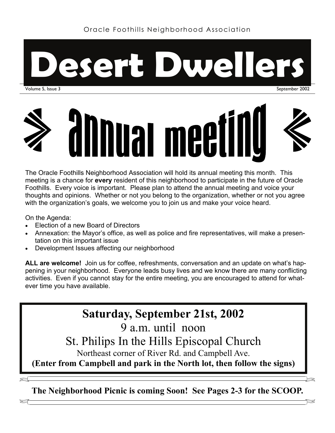

September 2002



The Oracle Foothills Neighborhood Association will hold its annual meeting this month. This meeting is a chance for **every** resident of this neighborhood to participate in the future of Oracle Foothills. Every voice is important. Please plan to attend the annual meeting and voice your thoughts and opinions. Whether or not you belong to the organization, whether or not you agree with the organization's goals, we welcome you to join us and make your voice heard.

On the Agenda:

- Election of a new Board of Directors
- Annexation: the Mayor's office, as well as police and fire representatives, will make a presentation on this important issue
- Development Issues affecting our neighborhood

**ALL are welcome!** Join us for coffee, refreshments, conversation and an update on what's happening in your neighborhood. Everyone leads busy lives and we know there are many conflicting activities. Even if you cannot stay for the entire meeting, you are encouraged to attend for whatever time you have available.

# **Saturday, September 21st, 2002**

9 a.m. until noon

St. Philips In the Hills Episcopal Church

Northeast corner of River Rd. and Campbell Ave.

**(Enter from Campbell and park in the North lot, then follow the signs)** 

**The Neighborhood Picnic is coming Soon! See Pages 2-3 for the SCOOP.** 

 $\blacktriangleright$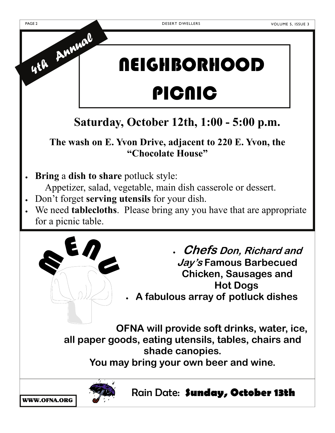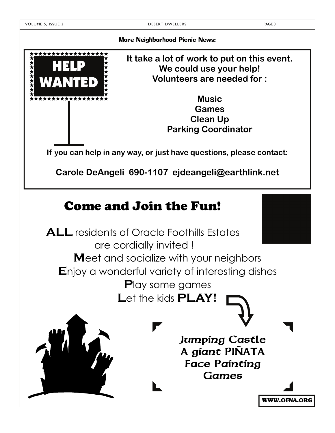\*\*\*\*\*\*\*\*

HELP

WANTED

More Neighborhood Picnic News:

**It take a lot of work to put on this event. We could use your help! Volunteers are needed for :** 

> **Music Games Clean Up Parking Coordinator**

**If you can help in any way, or just have questions, please contact:** 

**Carole DeAngeli 690-1107 ejdeangeli@earthlink.net** 

## Come and Join the Fun!

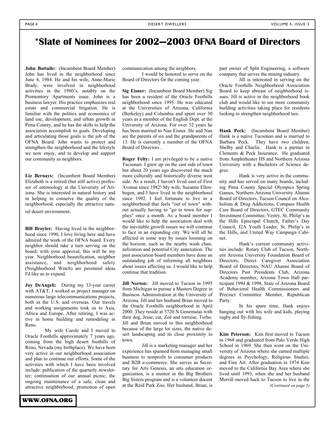### **\*Slate of Nominees for 2002—2003 OFNA Board of Directors**

**John Battaile:** (Incumbent Board Member) John has lived in the neighborhood since June 4, 1984. He and his wife, Anne-Marie Brady, were involved in neighborhood activities in the 1980's, notably on the Promontory Apartments issue. John is a business lawyer. His practice emphasizes real estate and commercial litigation. He is familiar with the politics and economics of land use, development, and urban growth in Pima County, and he has the skills to help the association accomplish its goals. Developing and articulating those goals is the job of the OFNA Board. John wants to protect and strengthen the neighborhood and the lifestyle we now enjoy, and to develop and support our community as neighbors.

**Liz Bernays:** (Incumbent Board Member) Elizabeth is a retired (but still active) professor of entomology at the University of Arizona. She is interested in natural history and in helping to conserve the quality of the neighborhood, especially the attractive natural desert environment.

**Bill Broyles:** Having lived in the neighborhood since 1990, I love living here and have admired the work of the OFNA board. Every neighbor should take a turn serving on the board; with your approval, this will be my year. Neighborhood beautification, neighbor assistance, and neighborhood safety (Neighborhood Watch) are perennial ideas I'd like us to expand.

**Jay DeAngeli:** During my 33-year career with AT&T, I worked as project manager on numerous large telecommunications projects, both in the U.S. and overseas. Our travels and working assignments took us to Asia, Africa and Europe. After retiring, I was active in home building and remodeling in Reno.

 My wife Carole and I moved to Oracle Foothills approximately 7 years ago, coming from the high desert foothills of Reno, Nevada (my birthplace). We have been very active in our neighborhood association and plan to continue our efforts. Some of the activities with which I have been involved include: publication of the quarterly newsletter; continuation of our annual picnic; the ongoing maintenance of a safe, clean and attractive neighborhood; promotion of open communication among the neighbors.

 I would be honored to serve on the Board of Directors for the coming year.

**Sig Eisner:** (Incumbent Board Member) Sig has been a resident of the Oracle Foothills neighborhood since 1995. He was educated at the Universities of Arizona, California (Berkeley) and Columbia and spent over 30 years as a member of the English Dept. at the University of Arizona. For over 52 years he has been married to Nan Eisner. He and Nan are the parents of six and the grandparents of 13. He is currently a member of the OFNA Board of Directors .

**Roger Felty:** I am privileged to be a native Tucsonan. I grew up on the east side of town but about 20 years ago discovered the much more culturally and historically diverse west side. As a result, I haven't lived east of First Avenue since 1982! My wife, Suzanne Ellenbogen, and I have lived in the neighborhood since 1992. I feel fortunate to live in a neighborhood that feels "out of town" without actually having to "go to town for supplies" once a month. As a board member I would like to help the association deal with the inevitable growth issues we will continue to face in an expanding city. We will all be affected in some way by issues looming on the horizon, such as the nearby wash channelization and potential City annexation. The past association board members have done an outstanding job of informing all neighbors about issues affecting us. I would like to help continue that tradition.

**Jill Norton:** Jill moved to Tucson in 1995 from Michigan to pursue a Masters Degree in Business Administration at the University of Arizona. Jill and her husband Brian moved to the Oracle Foothills neighborhood in April 2000. They reside at 5720 N Genematas with their dog, Jesse, cat, Zoë and tortoise, Turbo. Jill and Brian moved to this neighborhood because of the large lot sizes, the native desert landscaping and its close proximity to town.

 Jill is a marketing manager and her experience has spanned from managing small business to nonprofit to consumer products and B2B e-commerce. She serves as Secretary for Arts Genesis, an arts education organization, is a mentor in the Big Brothers Big Sisters program and is a volunteer docent at the Reid Park Zoo. Her husband, Brian, is

part owner of Split Engineering, a software company that serves the mining industry.

 Jill is interested in serving on the Oracle Foothills Neighborhood Association Board to keep abreast of neighborhood issues. Jill is active in the neighborhood book club and would like to see more community building activities taking place for residents looking to strengthen neighborhood ties.

**Hank Peck:** (Incumbent Board Member) Hank is a native Tucsonan and is married to Barbara Peck. They have two children, Shelby and Charlie. Hank is a partner in Clements & Peck Insurance. He graduated from Amphitheater HS and Northern Arizona University with a Bachelors of Science degree.

 Hank is very active in the community and has served on many boards, including Pima County Special Olympics Spring Games, Northern Arizona University Alumni Board of Directors, Tucson Council on Alcoholism & Drug Addictions, Compass Health Care Board of Directors, GTEC Community Investment Committee, Vestry, St. Philip's in the Hills Episcopal Church, Father's Day Council, J2A Youth Leader, St. Philip's in the Hills, and United Way Campaign Cabinet.

 Hank's current community activities include: Rotary Club of Tucson, Northern Arizona University Foundation Board of Directors, Direct Caregiver Association Board of Directors, NAU Alumni Board of Directors Past Presidents Club, Arizona Academy member, Arizona Town Hall participant 1994 & 1998, State of Arizona Board of Behavioral Health Commissioners and Precinct Committee Member, Republican Party.

 In his spare time, Hank enjoys hanging out with his wife and kids, playing rugby and fly-fishing.

**Kim Peterson:** Kim first moved to Tucson in 1968 and graduated from Palo Verde High School in 1969. She then went on the University of Arizona where she earned multiple degrees in Psychology, Religious Studies, and Fine Art. After graduation in 1974 Kim moved to the California Bay Area where she lived until 1993, when she and her husband Merrill moved back to Tucson to live in the *(Continued on page 5)*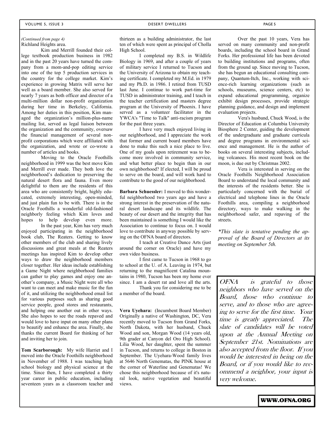#### Richland Heights area. *(Continued from page 4)*

 Kim and Merrill founded their college textbook production business in 1982 and in the past 20 years have turned the company from a mom-and-pop editing service into one of the top 5 production services in the country for the college market. Kim's experience in growing Matrix will serve her well as a board member. She also served for nearly 7 years as both officer and director of a multi-million dollar non-profit organization during her time in Berkeley, California. Among her duties in this position, Kim managed the organization's million-plus-name mailing list, served as legal liaison between the organization and the community, oversaw the financial management of several nonprofit corporations which were affiliated with the organization, and wrote or co-wrote a number of articles and books.

 Moving to the Oracle Foothills neighborhood in 1999 was the best move Kim and Merrill ever made. They both love the neighborhood's dedication to preserving the natural desert flora and fauna. Even more delightful to them are the residents of this area who are consistently bright, highly educated, extremely interesting, open-minded, and just plain fun to be with. There is in the Oracle Foothills a wonderful old-fashioned neighborly feeling which Kim loves and hopes to help develop even more.

 In the past year, Kim has very much enjoyed participating in the neighborhood book club, The Reaters. Getting to know other members of the club and sharing lively discussions and great meals at the Reaters meetings has inspired Kim to develop other ways to draw the neighborhood members closer together. Her ideas include establishing a Game Night where neighborhood families can gather to play games and enjoy one another's company, a Music Night were all who want to can meet and make music for the fun of it, and utilizing the neighborhood email list for various purposes such as sharing good service people, good stores and restaurants, and helping one another out in other ways. She also hopes to see the roads repaved and would love to have input on many other plans to beautify and enhance the area. Finally, she thanks the current Board for thinking of her and inviting her to join.

**Tom Scarborough:** My wife Harriet and I moved into the Oracle Foothills neighborhood in November of 1988. I was teaching high school biology and physical science at the time. Since then, I have completed a thirty year career in public education, including seventeen years as a classroom teacher and thirteen as a building administrator, the last ten of which were spent as principal of Cholla High School.

 I completed my B.S. in Wildlife Biology in 1969, and after a couple of years of military service I returned to Tucson and the University of Arizona to obtain my teaching certificate. I completed my M.Ed. in 1979 and my Ph.D. in 1986. I retired from TUSD last June. I continue to work part-time for TUSD in administrator training, and I teach in the teacher certification and masters degree program at the University of Phoenix. I have served as a volunteer facilitator in the YWCA's "Time to Talk" anti-racism program for the past three years.

 I have very much enjoyed living in our neighborhood, and I appreciate the work that former and current board members have done to make this such a nice place to live. One of my goals upon retirement was to become more involved in community service, and what better place to begin than in our own neighborhood? If elected, I will be proud to serve on the board, and will work hard to contribute to the good of our neighborhood.

**Barbara Schuessler:** I moved to this wonderful neighborhood two years ago and have a strong interest in the preservation of the natural desert landscape and its wildlife. The beauty of our desert and the integrity that has been maintained is something I would like the Association to continue to focus on. I would love to contribute in anyway possible by serving on the OFNA board of directors.

 I teach at Creative Dance Arts (just around the corner on Oracle) and have my own video business.

 I first came to Tucson in 1968 to go to school at the U. of A. Leaving in 1974, but returning to the magnificent Catalina mountains in 1980, Tucson has been my home ever since. I am a desert rat and love all the arts.

 Thank you for considering me to be a member of the board.

**Vera Uyehara:** (Incumbent Board Member) Originally a native of Washington, DC, Vera recently moved to Tucson from Grand Forks, North Dakota, with her husband, Chuck Wood and son, Morgan Wood (14 years old, 9th grader at Canyon del Oro High School). Lilia Wood, her daughter, spent the summer in Tucson, and returns to college in Boston in September. The Uyehara-Wood family lives at 5646 North Genematas, the PINK house at the corner of Waterline and Genematas! We chose this neighborhood because of it's natural look, native vegetation and beautiful views.

 Over the past 10 years, Vera has served on many community and non-profit boards, including the school board in Grand Forks. Her professional life has been devoted to building institutions and programs, often from the ground up. Since moving to Tucson, she has begun an educational consulting company, Quantum-Itch, Inc., working with science-rich learning organizations (such as schools, museums, science centers, etc) to expand educational programming, organize exhibit design processes, provide strategic planning guidance, and design and implement evaluation projects.

 Vera's husband, Chuck Wood, is the Director of Education at Columbia University Biosphere 2 Center, guiding the development of the undergraduate and graduate curricula and degree programs in environmental science and management. He is the author of books on several interesting subjects, including volcanoes. His most recent book on the moon, is due out by Christmas 2002.

 Vera is interested in serving on the Oracle Foothills Neighborhood Association Board to understand the local community and the interests of the residents better. She is particularly concerned with the burial of electrical and telephone lines in the Oracle Foothills area, compiling a neighborhood directory, ways to make walking in the neighborhood safer, and repaving of the streets.

*\*This slate is tentative pending the approval of the Board of Directors at its meeting on September 5th.* 

OFNA is grateful to those neighbors who have served on the Board, those who continue to serve, and to those who are agreeing to serve for the first time. Your time is greatly appreciated. The slate of candidates will be voted upon at the Annual Meeting on September 21st. Nominations are also accepted from the floor. If you would be interested in being on the Board, or if you would like to recommend a neighbor, your input is very welcome.

WWW.OFNA.ORG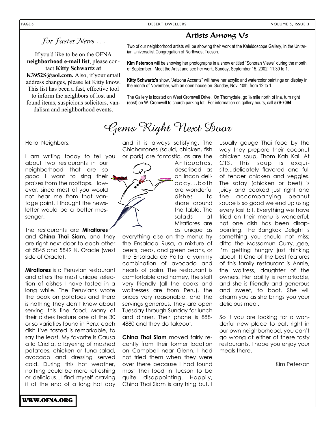If you'd like to be on the OFNA **neighborhood e-mail list**, please contact **Kitty Schwartz at K3952S@aol.com.** Also, if your email address changes, please let Kitty know. This list has been a fast, effective tool to inform the neighbors of lost and found items, suspicious solicitors, vandalism and neighborhood events.

#### Artists Among Us

For Faster News . . . Two of our neighborhood artists will be showing their work at the Kaleidoscope Gallery, in the Unitarian Universalist Congregation of Northwest Tucson.

> **Kim Peterson** will be showing her photographs in a show entitled "Sonoran Views" during the month of September. Meet the Artist and see her work, Sunday, September 15, 2002, 11:30 to 1.

> **Kitty Schwartz's** show, "Arizona Accents" will have her acrylic and watercolor paintings on display in the month of November, with an open house on Sunday, Nov. 10th, from 12 to 1.

The Gallery is located on West Cromwell Drive. On Thornydale, go ½ mile north of Ina, turn right (east) on W. Cromwell to church parking lot. For information on gallery hours, call **579-7094**

### Gems Right Next Door

Hello, Neighbors,

I am writing today to tell you about two restaurants in our neighborhood that are so good I want to sing their praises from the rooftops. However, since most of you would not hear me from that vantage point, I thought the newsletter would be a better messenger.

The restaurants are **Miraflores**  and **China Thai Siam**, and they are right next door to each other at 5845 and 5849 N. Oracle (west side of Oracle).

**Miraflores** is a Peruvian restaurant and offers the most unique selection of dishes I have tasted in a long while. The Peruvians wrote the book on potatoes and there is nothing they don't know about serving this fine food. Many of their dishes feature one of the 30 or so varieties found in Peru; each dish I've tasted is remarkable, to say the least. My favorite is Causa a la Criolla, a layering of mashed potatoes, chicken or tuna salad, avocado and dressing served cold. During this hot weather, nothing could be more refreshing or delicious...I find myself craving it at the end of a long hot day

and it is always satisfying. The Chicharrones (squid, chicken, fish or pork) are fantastic, as are the

Anticuchos, described as an Incan delicacy...both are wonderful dishes to share around the table. The salads at Miraflores are as unique as

everything else on the menu: try the Ensalada Rusa, a mixture of beets, peas, and green beans, or the Ensalada de Palta, a yummy combination of avocado and hearts of palm. The restaurant is comfortable and homey, the staff very friendly (all the cooks and waitresses are from Peru), the prices very reasonable, and the servings generous. They are open Tuesday through Sunday for lunch and dinner. Their phone is 888- 4880 and they do takeout.

**China Thai Siam** moved fairly recently from their former location on Campbell near Glenn. I had not tried them when they were over there because I had found most Thai food in Tucson to be quite disappointing. Happily, China Thai Siam is anything but. I

usually gauge Thai food by the way they prepare their coconut chicken soup, Thom Kah Kai. At CTS, this soup is exquisite...delicately flavored and full of tender chicken and veggies. The satay (chicken or beef) is juicy and cooked just right and the accompanying peanut sauce is so good we end up using every last bit. Everything we have tried on their menu is wonderful; not one dish has been disappointing. The Bangkok Delight is something you should not miss; ditto the Massamun Curry...gee, I'm getting hungry just thinking about it! One of the best features of this family restaurant is Annie, the waitress, daughter of the owners. Her ability is remarkable, and she is friendly and generous and sweet, to boot. She will charm you as she brings you your delicious meal.

So if you are looking for a wonderful new place to eat, right in our own neighborhood, you can't go wrong at either of these tasty restaurants. I hope you enjoy your meals there.

Kim Peterson

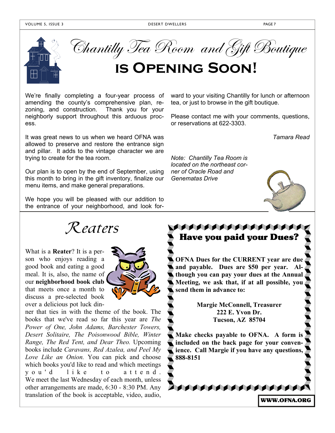

Chantilly Tea Room and Gift Boutique

# **is Opening Soon!**

We're finally completing a four-year process of amending the county's comprehensive plan, rezoning, and construction. Thank you for your neighborly support throughout this arduous process.

It was great news to us when we heard OFNA was allowed to preserve and restore the entrance sign and pillar. It adds to the vintage character we are trying to create for the tea room.

Our plan is to open by the end of September, using this month to bring in the gift inventory, finalize our menu items, and make general preparations.

We hope you will be pleased with our addition to the entrance of your neighborhood, and look for-



What is a **Reater**? It is a person who enjoys reading a good book and eating a good meal. It is, also, the name of our **neighborhood book club** that meets once a month to discuss a pre-selected book over a delicious pot luck din-



ner that ties in with the theme of the book. The books that we've read so far this year are *The Power of One, John Adams, Barchester Towers, Desert Solitaire, The Poisonwood Bible, Winter Range, The Red Tent, and Dear Theo.* Upcoming books include *Caravans, Red Azalea, and Peel My Love Like an Onion.* You can pick and choose which books you'd like to read and which meetings vou'd like to attend. We meet the last Wednesday of each month, unless other arrangements are made, 6:30 - 8:30 PM. Any translation of the book is acceptable, video, audio, ward to your visiting Chantilly for lunch or afternoon tea, or just to browse in the gift boutique.

Please contact me with your comments, questions, or reservations at 622-3303.

*Tamara Read* 

*Note: Chantilly Tea Room is located on the northeast corner of Oracle Road and Genematas Drive* 



WWW.OFNA.ORG

#### **AAAAAAAAAAAAAAA** Have you paid your Dues?

**OFNA Dues for the CURRENT year are due and payable. Dues are \$50 per year. Although you can pay your dues at the Annual Meeting, we ask that, if at all possible, you send them in advance to:** 

> **Margie McConnell, Treasurer 222 E. Yvon Dr. Tucson, AZ 85704**

**Make checks payable to OFNA. A form is included on the back page for your convenience. Call Margie if you have any questions, 888-8151**